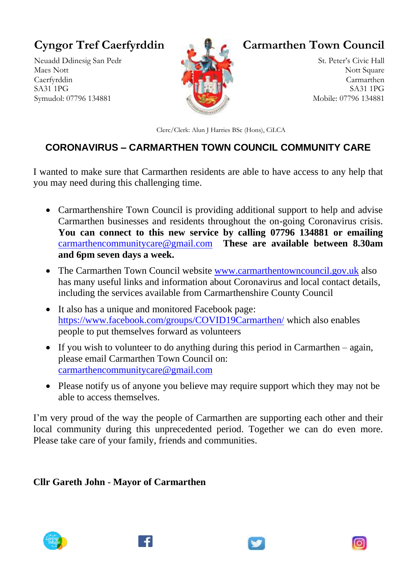## **Cyngor Tref Caerfyrddin**

Neuadd Ddinesig San Pedr Maes Nott Caerfyrddin SA31 1PG Symudol: 07796 134881



**Carmarthen Town Council**

St. Peter's Civic Hall Nott Square Carmarthen SA31 1PG Mobile: 07796 134881

Clerc/Clerk: Alun J Harries BSc (Hons), CiLCA

## **CORONAVIRUS – CARMARTHEN TOWN COUNCIL COMMUNITY CARE**

I wanted to make sure that Carmarthen residents are able to have access to any help that you may need during this challenging time.

- Carmarthenshire Town Council is providing additional support to help and advise Carmarthen businesses and residents throughout the on-going Coronavirus crisis. **You can connect to this new service by calling 07796 134881 or emailing**  [carmarthencommunitycare@gmail.com](mailto:carmarthencommunitycare@gmail.com) **These are available between 8.30am and 6pm seven days a week.**
- The Carmarthen Town Council website [www.carmarthentowncouncil.gov.uk](http://www.carmarthentowncouncil.gov.uk/) also has many useful links and information about Coronavirus and local contact details, including the services available from Carmarthenshire County Council
- It also has a unique and monitored Facebook page: <https://www.facebook.com/groups/COVID19Carmarthen/> which also enables people to put themselves forward as volunteers
- If you wish to volunteer to do anything during this period in Carmarthen again, please email Carmarthen Town Council on: [carmarthencommunitycare@gmail.com](mailto:carmarthencommunitycare@gmail.com)
- Please notify us of anyone you believe may require support which they may not be able to access themselves.

I'm very proud of the way the people of Carmarthen are supporting each other and their local community during this unprecedented period. Together we can do even more. Please take care of your family, friends and communities.

**Cllr Gareth John** - **Mayor of Carmarthen**